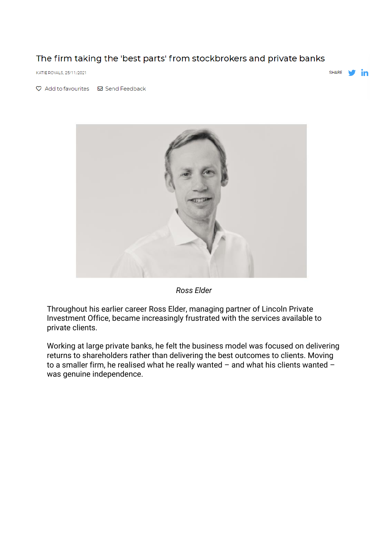## The firm taking the 'best parts' from stockbrokers and private banks

KATIE ROYALS, 25/11/2021

SHARE in

 $\heartsuit$  Add to favourites  $\heartsuit$  Send Feedback



*Ross Elder*

Throughout his earlier career Ross Elder, managing partner of Lincoln Private Investment Office, became increasingly frustrated with the services available to private clients.

Working at large private banks, he felt the business model was focused on delivering returns to shareholders rather than delivering the best outcomes to clients. Moving to a smaller firm, he realised what he really wanted – and what his clients wanted – was genuine independence.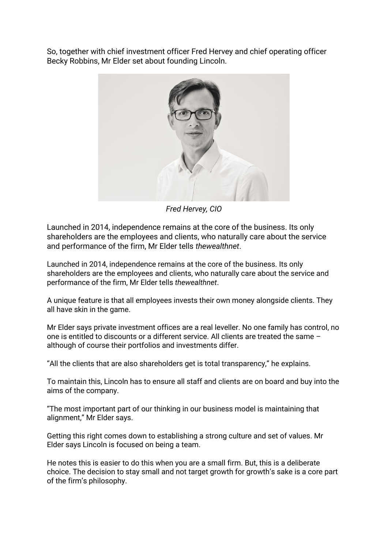So, together with chief investment officer Fred Hervey and chief operating officer Becky Robbins, Mr Elder set about founding Lincoln.



*Fred Hervey, CIO*

Launched in 2014, independence remains at the core of the business. Its only shareholders are the employees and clients, who naturally care about the service and performance of the firm, Mr Elder tells *thewealthnet*.

Launched in 2014, independence remains at the core of the business. Its only shareholders are the employees and clients, who naturally care about the service and performance of the firm, Mr Elder tells *thewealthnet*.

A unique feature is that all employees invests their own money alongside clients. They all have skin in the game.

Mr Elder says private investment offices are a real leveller. No one family has control, no one is entitled to discounts or a different service. All clients are treated the same – although of course their portfolios and investments differ.

"All the clients that are also shareholders get is total transparency," he explains.

To maintain this, Lincoln has to ensure all staff and clients are on board and buy into the aims of the company.

"The most important part of our thinking in our business model is maintaining that alignment," Mr Elder says.

Getting this right comes down to establishing a strong culture and set of values. Mr Elder says Lincoln is focused on being a team.

He notes this is easier to do this when you are a small firm. But, this is a deliberate choice. The decision to stay small and not target growth for growth's sake is a core part of the firm's philosophy.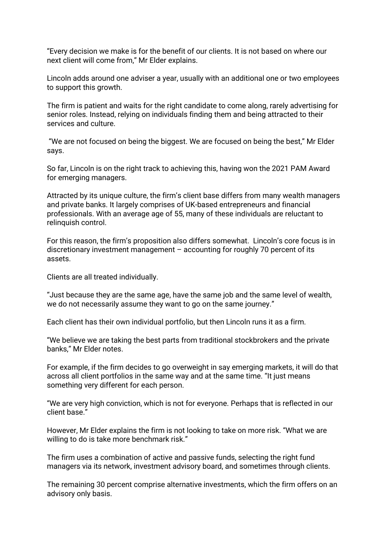"Every decision we make is for the benefit of our clients. It is not based on where our next client will come from," Mr Elder explains.

Lincoln adds around one adviser a year, usually with an additional one or two employees to support this growth.

The firm is patient and waits for the right candidate to come along, rarely advertising for senior roles. Instead, relying on individuals finding them and being attracted to their services and culture.

"We are not focused on being the biggest. We are focused on being the best," Mr Elder says.

So far, Lincoln is on the right track to achieving this, having won the 2021 PAM Award for emerging managers.

Attracted by its unique culture, the firm's client base differs from many wealth managers and private banks. It largely comprises of UK-based entrepreneurs and financial professionals. With an average age of 55, many of these individuals are reluctant to relinquish control.

For this reason, the firm's proposition also differs somewhat. Lincoln's core focus is in discretionary investment management – accounting for roughly 70 percent of its assets.

Clients are all treated individually.

"Just because they are the same age, have the same job and the same level of wealth, we do not necessarily assume they want to go on the same journey."

Each client has their own individual portfolio, but then Lincoln runs it as a firm.

"We believe we are taking the best parts from traditional stockbrokers and the private banks," Mr Elder notes.

For example, if the firm decides to go overweight in say emerging markets, it will do that across all client portfolios in the same way and at the same time. "It just means something very different for each person.

"We are very high conviction, which is not for everyone. Perhaps that is reflected in our client base."

However, Mr Elder explains the firm is not looking to take on more risk. "What we are willing to do is take more benchmark risk."

The firm uses a combination of active and passive funds, selecting the right fund managers via its network, investment advisory board, and sometimes through clients.

The remaining 30 percent comprise alternative investments, which the firm offers on an advisory only basis.